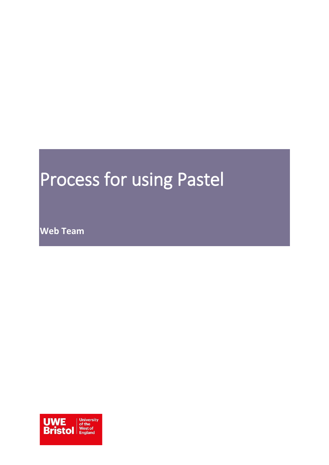# <span id="page-0-0"></span>Process for using Pastel

**Web Team**

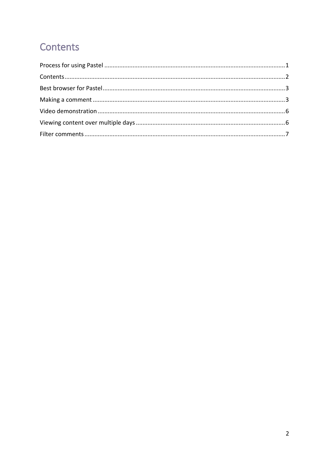## <span id="page-1-0"></span>Contents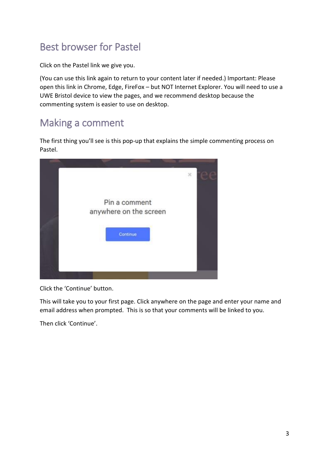## <span id="page-2-0"></span>Best browser for Pastel

Click on the Pastel link we give you.

(You can use this link again to return to your content later if needed.) Important: Please open this link in Chrome, Edge, FireFox – but NOT Internet Explorer. You will need to use a UWE Bristol device to view the pages, and we recommend desktop because the commenting system is easier to use on desktop.

### <span id="page-2-1"></span>Making a comment

The first thing you'll see is this pop-up that explains the simple commenting process on Pastel.



Click the 'Continue' button.

This will take you to your first page. Click anywhere on the page and enter your name and email address when prompted. This is so that your comments will be linked to you.

Then click 'Continue'.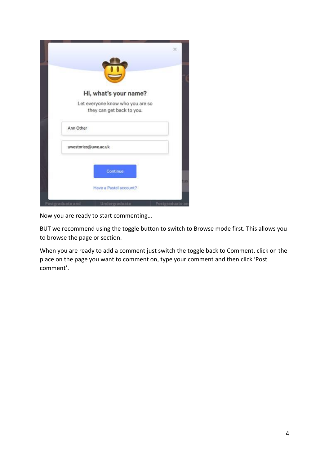| Hi, what's your name?                                         |     |
|---------------------------------------------------------------|-----|
| Let everyone know who you are so<br>they can get back to you. |     |
| Ann Other                                                     |     |
| uwestories@uwe.ac.uk                                          |     |
| Continue                                                      |     |
| Have a Pastel account?                                        | 115 |

Now you are ready to start commenting…

BUT we recommend using the toggle button to switch to Browse mode first. This allows you to browse the page or section.

When you are ready to add a comment just switch the toggle back to Comment, click on the place on the page you want to comment on, type your comment and then click 'Post comment'.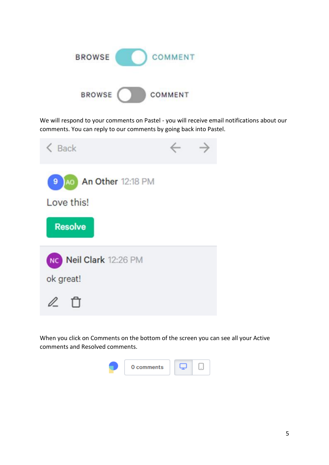

We will respond to your comments on Pastel - you will receive email notifications about our comments. You can reply to our comments by going back into Pastel.



When you click on Comments on the bottom of the screen you can see all your Active comments and Resolved comments.

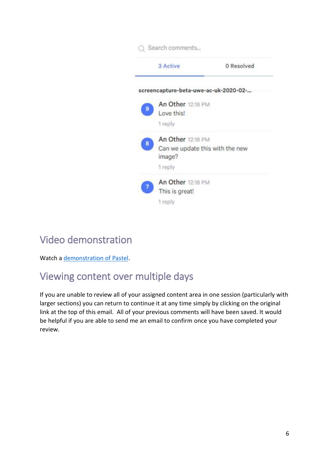|   | Search comments                           |            |
|---|-------------------------------------------|------------|
|   | 3 Active                                  | 0 Resolved |
|   | screencapture-beta-uwe-ac-uk-2020-02-     |            |
|   | An Other 12:18 PM                         |            |
| 9 | Love this!                                |            |
|   | 1 reply                                   |            |
| 8 | An Other 12:18 PM                         |            |
|   | Can we update this with the new<br>image? |            |
|   | 1 reply                                   |            |
|   | An Other 12:18 PM                         |            |
|   | This is great!                            |            |
|   | 1 reply                                   |            |

### <span id="page-5-0"></span>Video demonstration

Watch a [demonstration of Pastel.](https://www.youtube.com/watch?v=LCpNznOR5Qo)

## <span id="page-5-1"></span>Viewing content over multiple days

If you are unable to review all of your assigned content area in one session (particularly with larger sections) you can return to continue it at any time simply by clicking on the original link at the top of this email. All of your previous comments will have been saved. It would be helpful if you are able to send me an email to confirm once you have completed your review.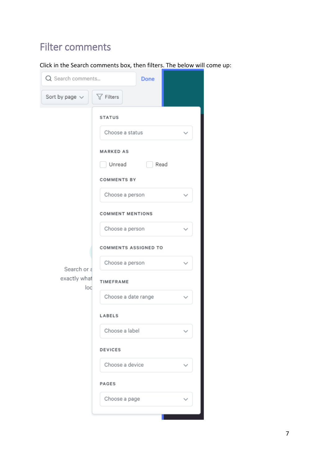# <span id="page-6-0"></span>Filter comments

Click in the Search comments box, then filters. The below will come up:

| Q Search comments<br>Done          |                                                                                                                                                                                                                                                                          |  |  |  |  |  |
|------------------------------------|--------------------------------------------------------------------------------------------------------------------------------------------------------------------------------------------------------------------------------------------------------------------------|--|--|--|--|--|
| Sort by page $\vee$                | $\nabla$ Filters                                                                                                                                                                                                                                                         |  |  |  |  |  |
| Search or a<br>exactly what<br>loc | <b>STATUS</b><br>Choose a status<br><b>MARKED AS</b><br>Read<br>Unread<br><b>COMMENTS BY</b><br>Choose a person<br><b>COMMENT MENTIONS</b><br>Choose a person<br>COMMENTS ASSIGNED TO<br>Choose a person<br>TIMEFRAME<br>Choose a date range<br>LABELS<br>Choose a label |  |  |  |  |  |
|                                    | <b>DEVICES</b><br>Choose a device                                                                                                                                                                                                                                        |  |  |  |  |  |
|                                    | PAGES                                                                                                                                                                                                                                                                    |  |  |  |  |  |
|                                    | Choose a page                                                                                                                                                                                                                                                            |  |  |  |  |  |
|                                    |                                                                                                                                                                                                                                                                          |  |  |  |  |  |